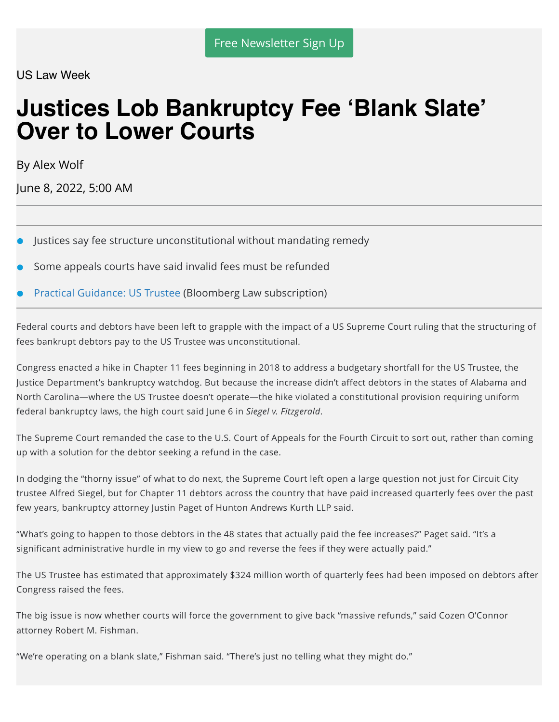US Law Week

# **Justices Lob Bankruptcy Fee 'Blank Slate' Over to Lower Courts**

By Alex Wolf

June 8, 2022, 5:00 AM

- Justices say fee structure unconstitutional without mandating remedy
- Some appeals courts have said invalid fees must be refunded
- Practical Guidance: US Trustee (Bloomberg Law subscription)

Federal courts and debtors have been left to grapple with the impact of a US Supreme Court ruling that the structuring of fees bankrupt debtors pay to the US Trustee was unconstitutional.

Congress enacted a hike in Chapter 11 fees beginning in 2018 to address a budgetary shortfall for the US Trustee, the Justice Department's bankruptcy watchdog. But because the increase didn't affect debtors in the states of Alabama and North Carolina—where the US Trustee doesn't operate—the hike violated a constitutional provision requiring uniform federal bankruptcy laws, the high court said June 6 in *Siegel v. Fitzgerald*.

The Supreme Court remanded the case to the U.S. Court of Appeals for the Fourth Circuit to sort out, rather than coming up with a solution for the debtor seeking a refund in the case.

In dodging the "thorny issue" of what to do next, the Supreme Court left open a large question not just for Circuit City trustee Alfred Siegel, but for Chapter 11 debtors across the country that have paid increased quarterly fees over the past few years, bankruptcy attorney Justin Paget of Hunton Andrews Kurth LLP said.

"What's going to happen to those debtors in the 48 states that actually paid the fee increases?" Paget said. "It's a significant administrative hurdle in my view to go and reverse the fees if they were actually paid."

The US Trustee has estimated that approximately \$324 million worth of quarterly fees had been imposed on debtors after Congress raised the fees.

The big issue is now whether courts will force the government to give back "massive refunds," said Cozen O'Connor attorney Robert M. Fishman.

"We're operating on a blank slate," Fishman said. "There's just no telling what they might do."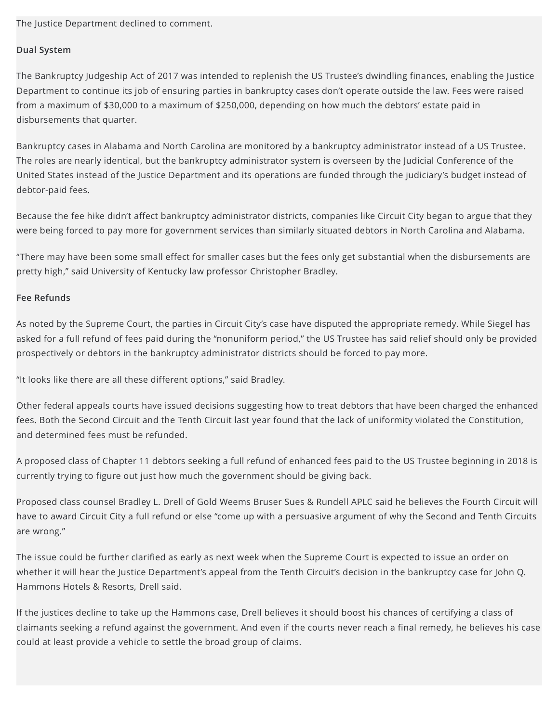The Justice Department declined to comment.

### **Dual System**

The Bankruptcy Judgeship Act of 2017 was intended to replenish the US Trustee's dwindling finances, enabling the Justice Department to continue its job of ensuring parties in bankruptcy cases don't operate outside the law. Fees were raised from a maximum of \$30,000 to a maximum of \$250,000, depending on how much the debtors' estate paid in disbursements that quarter.

Bankruptcy cases in Alabama and North Carolina are monitored by a bankruptcy administrator instead of a US Trustee. The roles are nearly identical, but the bankruptcy administrator system is overseen by the Judicial Conference of the United States instead of the Justice Department and its operations are funded through the judiciary's budget instead of debtor-paid fees.

Because the fee hike didn't affect bankruptcy administrator districts, companies like Circuit City began to argue that they were being forced to pay more for government services than similarly situated debtors in North Carolina and Alabama.

"There may have been some small effect for smaller cases but the fees only get substantial when the disbursements are pretty high," said University of Kentucky law professor Christopher Bradley.

### **Fee Refunds**

As noted by the Supreme Court, the parties in Circuit City's case have disputed the appropriate remedy. While Siegel has asked for a full refund of fees paid during the "nonuniform period," the US Trustee has said relief should only be provided prospectively or debtors in the bankruptcy administrator districts should be forced to pay more.

"It looks like there are all these different options," said Bradley.

Other federal appeals courts have issued decisions suggesting how to treat debtors that have been charged the enhanced fees. Both the Second Circuit and the Tenth Circuit last year found that the lack of uniformity violated the Constitution, and determined fees must be refunded.

A proposed class of Chapter 11 debtors seeking a full refund of enhanced fees paid to the US Trustee beginning in 2018 is currently trying to figure out just how much the government should be giving back.

Proposed class counsel Bradley L. Drell of Gold Weems Bruser Sues & Rundell APLC said he believes the Fourth Circuit will have to award Circuit City a full refund or else "come up with a persuasive argument of why the Second and Tenth Circuits are wrong."

The issue could be further clarified as early as next week when the Supreme Court is expected to issue an order on whether it will hear the Justice Department's appeal from the Tenth Circuit's decision in the bankruptcy case for John Q. Hammons Hotels & Resorts, Drell said.

If the justices decline to take up the Hammons case, Drell believes it should boost his chances of certifying a class of claimants seeking a refund against the government. And even if the courts never reach a final remedy, he believes his case could at least provide a vehicle to settle the broad group of claims.